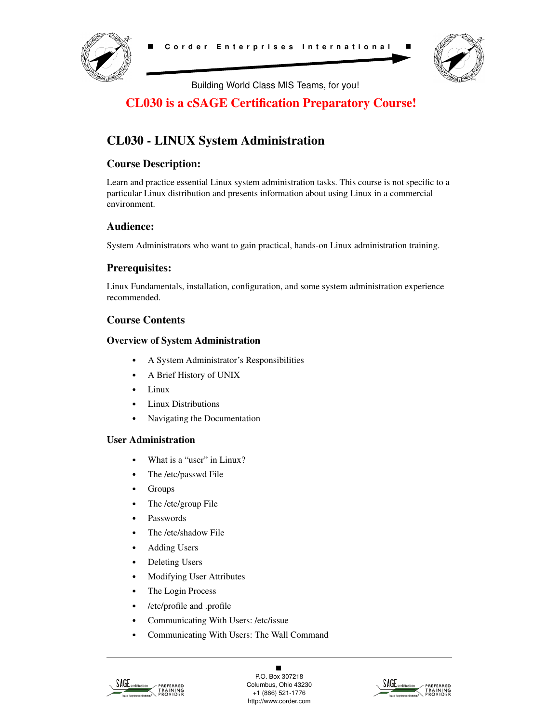



Building World Class MIS Teams, for you!

## **CL030 is a cSAGE Certification Preparatory Course!**

# **CL030 - LINUX System Administration**

## **Course Description:**

Learn and practice essential Linux system administration tasks. This course is not specific to a particular Linux distribution and presents information about using Linux in a commercial environment.

### **Audience:**

System Administrators who want to gain practical, hands-on Linux administration training.

## **Prerequisites:**

Linux Fundamentals, installation, configuration, and some system administration experience recommended.

## **Course Contents**

#### **Overview of System Administration**

- **•** A System Administrator's Responsibilities
- **•** A Brief History of UNIX
- **•** Linux
- **•** Linux Distributions
- **•** Navigating the Documentation

#### **User Administration**

- **•** What is a "user" in Linux?
- **•** The /etc/passwd File
- **•** Groups
- **•** The /etc/group File
- **•** Passwords
- **•** The /etc/shadow File
- **•** Adding Users
- **•** Deleting Users
- **•** Modifying User Attributes
- **•** The Login Process
- **•** /etc/profile and .profile
- **•** Communicating With Users: /etc/issue
- **•** Communicating With Users: The Wall Command



 $\blacksquare$ P.O. Box 307218 Columbus, Ohio 43230 +1 (866) 521-1776 http://www.corder.com

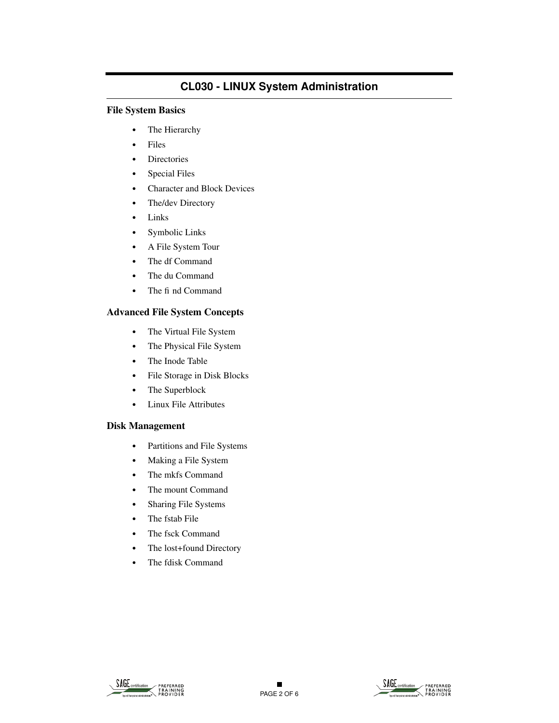#### **File System Basics**

- **•** The Hierarchy
- **•** Files
- **•** Directories
- **•** Special Files
- **•** Character and Block Devices
- **•** The/dev Directory
- **•** Links
- **•** Symbolic Links
- **•** A File System Tour
- **•** The df Command
- **•** The du Command
- The fi nd Command

### **Advanced File System Concepts**

- **•** The Virtual File System
- **•** The Physical File System
- **•** The Inode Table
- **•** File Storage in Disk Blocks
- **•** The Superblock
- **•** Linux File Attributes

#### **Disk Management**

- **•** Partitions and File Systems
- **•** Making a File System
- **•** The mkfs Command
- **•** The mount Command
- **•** Sharing File Systems
- **•** The fstab File
- **•** The fsck Command
- **•** The lost+found Directory
- **•** The fdisk Command



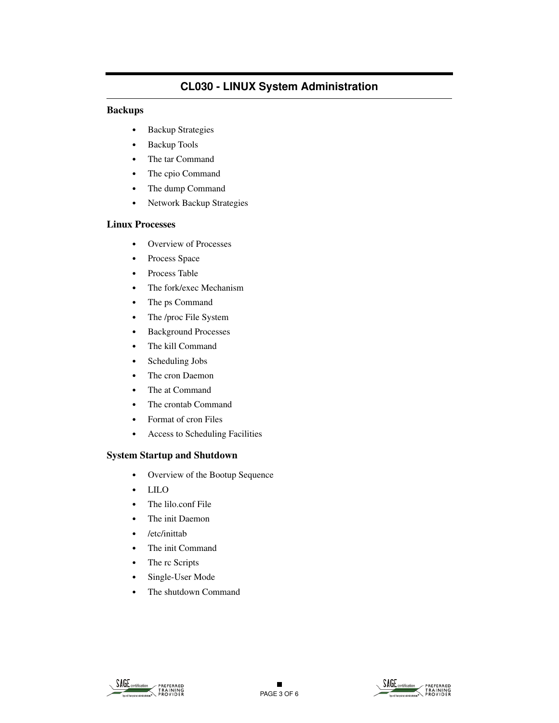#### **Backups**

- **•** Backup Strategies
- **•** Backup Tools
- **•** The tar Command
- **•** The cpio Command
- **•** The dump Command
- **•** Network Backup Strategies

#### **Linux Processes**

- **•** Overview of Processes
- **•** Process Space
- **•** Process Table
- **•** The fork/exec Mechanism
- **•** The ps Command
- **•** The /proc File System
- **•** Background Processes
- **•** The kill Command
- **•** Scheduling Jobs
- **•** The cron Daemon
- **•** The at Command
- **•** The crontab Command
- **•** Format of cron Files
- **•** Access to Scheduling Facilities

#### **System Startup and Shutdown**

- **•** Overview of the Bootup Sequence
- **•** LILO
- **•** The lilo.conf File
- **•** The init Daemon
- **•** /etc/inittab
- **•** The init Command
- **•** The rc Scripts
- **•** Single-User Mode
- **•** The shutdown Command

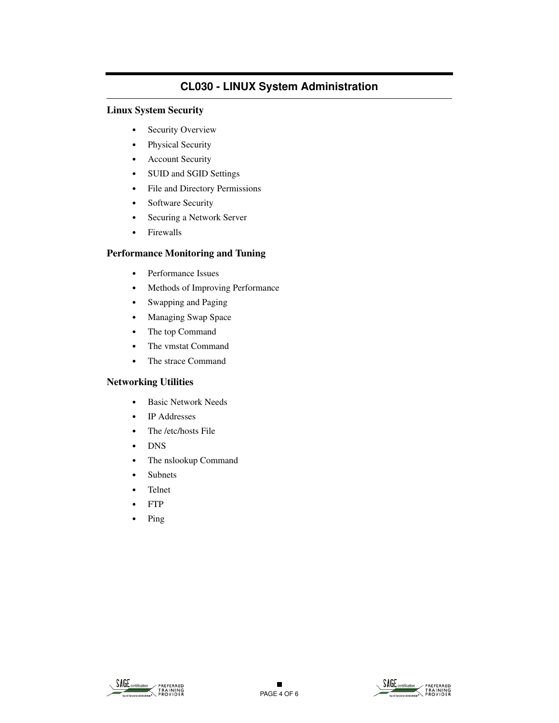#### **Linux System Security**

- **•** Security Overview
- **•** Physical Security
- **•** Account Security
- **•** SUID and SGID Settings
- **•** File and Directory Permissions
- **•** Software Security
- **•** Securing a Network Server
- **•** Firewalls

### **Performance Monitoring and Tuning**

- **•** Performance Issues
- **•** Methods of Improving Performance
- **•** Swapping and Paging
- **•** Managing Swap Space
- **•** The top Command
- **•** The vmstat Command
- **•** The strace Command

### **Networking Utilities**

- **•** Basic Network Needs
- **•** IP Addresses
- **•** The /etc/hosts File
- **•** DNS
- **•** The nslookup Command
- **•** Subnets
- **•** Telnet
- **•** FTP
- **•** Ping



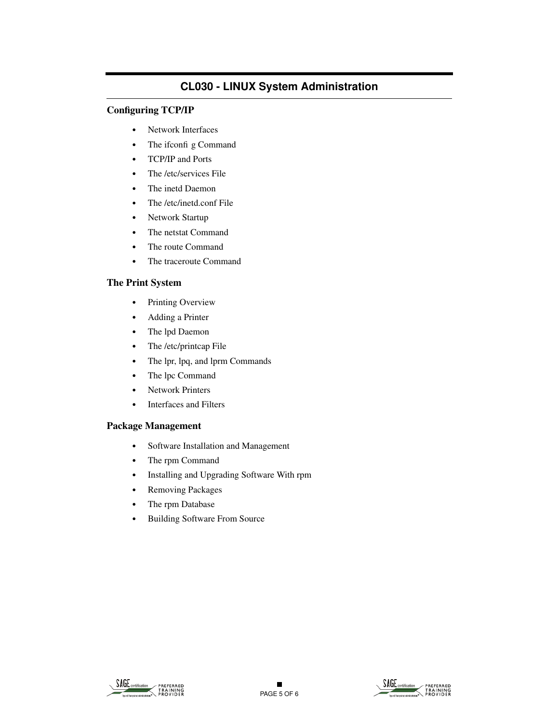#### **Configuring TCP/IP**

- **•** Network Interfaces
- The ifconfig Command
- **•** TCP/IP and Ports
- **•** The /etc/services File
- **•** The inetd Daemon
- **•** The /etc/inetd.conf File
- **•** Network Startup
- **•** The netstat Command
- **•** The route Command
- **•** The traceroute Command

#### **The Print System**

- **•** Printing Overview
- **•** Adding a Printer
- **•** The lpd Daemon
- **•** The /etc/printcap File
- **•** The lpr, lpq, and lprm Commands
- **•** The lpc Command
- **•** Network Printers
- **•** Interfaces and Filters

#### **Package Management**

- **•** Software Installation and Management
- **•** The rpm Command
- **•** Installing and Upgrading Software With rpm
- **•** Removing Packages
- **•** The rpm Database
- **•** Building Software From Source